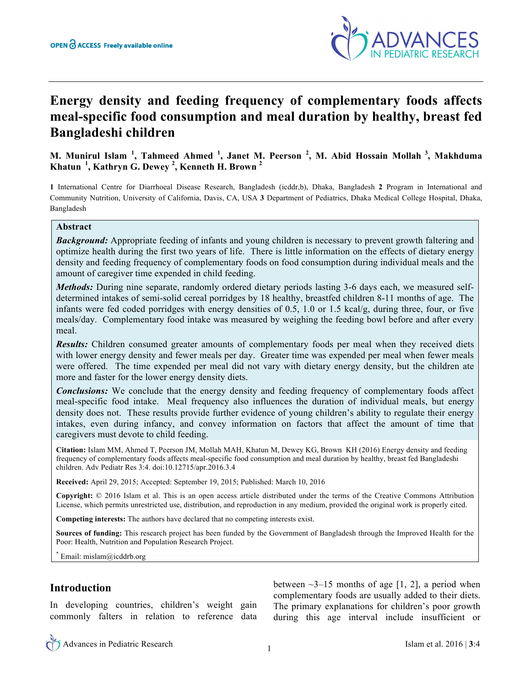

# **Energy density and feeding frequency of complementary foods affects meal-specific food consumption and meal duration by healthy, breast fed Bangladeshi children**

**M. Munirul Islam <sup>1</sup> , Tahmeed Ahmed <sup>1</sup> , Janet M. Peerson <sup>2</sup> , M. Abid Hossain Mollah <sup>3</sup> , Makhduma Khatun <sup>1</sup> , Kathryn G. Dewey <sup>2</sup> , Kenneth H. Brown <sup>2</sup>**

**1** International Centre for Diarrhoeal Disease Research, Bangladesh (icddr,b), Dhaka, Bangladesh **2** Program in International and Community Nutrition, University of California, Davis, CA, USA **3** Department of Pediatrics, Dhaka Medical College Hospital, Dhaka, Bangladesh

### **Abstract**

*Background:* Appropriate feeding of infants and young children is necessary to prevent growth faltering and optimize health during the first two years of life. There is little information on the effects of dietary energy density and feeding frequency of complementary foods on food consumption during individual meals and the amount of caregiver time expended in child feeding.

*Methods:* During nine separate, randomly ordered dietary periods lasting 3-6 days each, we measured selfdetermined intakes of semi-solid cereal porridges by 18 healthy, breastfed children 8-11 months of age. The infants were fed coded porridges with energy densities of 0.5, 1.0 or 1.5 kcal/g, during three, four, or five meals/day. Complementary food intake was measured by weighing the feeding bowl before and after every meal.

*Results:* Children consumed greater amounts of complementary foods per meal when they received diets with lower energy density and fewer meals per day. Greater time was expended per meal when fewer meals were offered. The time expended per meal did not vary with dietary energy density, but the children ate more and faster for the lower energy density diets.

*Conclusions:* We conclude that the energy density and feeding frequency of complementary foods affect meal-specific food intake. Meal frequency also influences the duration of individual meals, but energy density does not. These results provide further evidence of young children's ability to regulate their energy intakes, even during infancy, and convey information on factors that affect the amount of time that caregivers must devote to child feeding.

**Citation:** Islam MM, Ahmed T, Peerson JM, Mollah MAH, Khatun M, Dewey KG, Brown KH (2016) Energy density and feeding frequency of complementary foods affects meal-specific food consumption and meal duration by healthy, breast fed Bangladeshi children. Adv Pediatr Res 3:4. doi:10.12715/apr.2016.3.4

**Received:** April 29, 2015; Accepted: September 19, 2015; Published: March 10, 2016

**Copyright:** © 2016 Islam et al. This is an open access article distributed under the terms of the Creative Commons Attribution License, which permits unrestricted use, distribution, and reproduction in any medium, provided the original work is properly cited.

**Competing interests:** The authors have declared that no competing interests exist.

**Sources of funding:** This research project has been funded by the Government of Bangladesh through the Improved Health for the Poor: Health, Nutrition and Population Research Project.

Email: mislam@icddrb.org

## **Introduction**

In developing countries, children's weight gain commonly falters in relation to reference data

between  $\sim$ 3–15 months of age [1, 2], a period when complementary foods are usually added to their diets. The primary explanations for children's poor growth during this age interval include insufficient or

Advances in Pediatric Research Islam et al. <sup>2016</sup> <sup>|</sup>**3**:4 <sup>1</sup>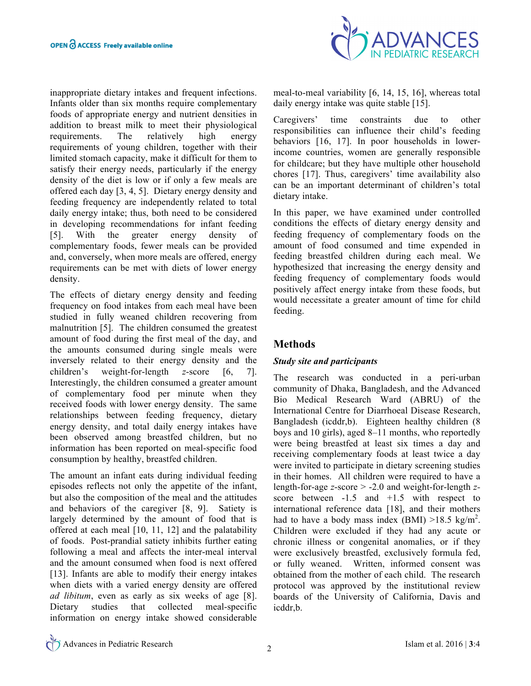inappropriate dietary intakes and frequent infections. Infants older than six months require complementary foods of appropriate energy and nutrient densities in addition to breast milk to meet their physiological requirements. The relatively high energy requirements of young children, together with their limited stomach capacity, make it difficult for them to satisfy their energy needs, particularly if the energy density of the diet is low or if only a few meals are offered each day [3, 4, 5]. Dietary energy density and feeding frequency are independently related to total daily energy intake; thus, both need to be considered in developing recommendations for infant feeding [5]. With the greater energy density of complementary foods, fewer meals can be provided and, conversely, when more meals are offered, energy requirements can be met with diets of lower energy density.

The effects of dietary energy density and feeding frequency on food intakes from each meal have been studied in fully weaned children recovering from malnutrition [5]. The children consumed the greatest amount of food during the first meal of the day, and the amounts consumed during single meals were inversely related to their energy density and the children's weight-for-length *z*-score [6, 7]. Interestingly, the children consumed a greater amount of complementary food per minute when they received foods with lower energy density. The same relationships between feeding frequency, dietary energy density, and total daily energy intakes have been observed among breastfed children, but no information has been reported on meal-specific food consumption by healthy, breastfed children.

The amount an infant eats during individual feeding episodes reflects not only the appetite of the infant, but also the composition of the meal and the attitudes and behaviors of the caregiver [8, 9]. Satiety is largely determined by the amount of food that is offered at each meal [10, 11, 12] and the palatability of foods. Post-prandial satiety inhibits further eating following a meal and affects the inter-meal interval and the amount consumed when food is next offered [13]. Infants are able to modify their energy intakes when diets with a varied energy density are offered *ad libitum*, even as early as six weeks of age [8]. Dietary studies that collected meal-specific information on energy intake showed considerable



meal-to-meal variability [6, 14, 15, 16], whereas total daily energy intake was quite stable [15].

Caregivers' time constraints due to other responsibilities can influence their child's feeding behaviors [16, 17]. In poor households in lowerincome countries, women are generally responsible for childcare; but they have multiple other household chores [17]. Thus, caregivers' time availability also can be an important determinant of children's total dietary intake.

In this paper, we have examined under controlled conditions the effects of dietary energy density and feeding frequency of complementary foods on the amount of food consumed and time expended in feeding breastfed children during each meal. We hypothesized that increasing the energy density and feeding frequency of complementary foods would positively affect energy intake from these foods, but would necessitate a greater amount of time for child feeding.

## **Methods**

## *Study site and participants*

The research was conducted in a peri-urban community of Dhaka, Bangladesh, and the Advanced Bio Medical Research Ward (ABRU) of the International Centre for Diarrhoeal Disease Research, Bangladesh (icddr,b). Eighteen healthy children (8 boys and 10 girls), aged 8–11 months, who reportedly were being breastfed at least six times a day and receiving complementary foods at least twice a day were invited to participate in dietary screening studies in their homes. All children were required to have a length-for-age *z*-score > -2.0 and weight-for-length *z*score between -1.5 and +1.5 with respect to international reference data [18], and their mothers had to have a body mass index  $(BMI) > 18.5 \text{ kg/m}^2$ . Children were excluded if they had any acute or chronic illness or congenital anomalies, or if they were exclusively breastfed, exclusively formula fed, or fully weaned. Written, informed consent was obtained from the mother of each child. The research protocol was approved by the institutional review boards of the University of California, Davis and icddr,b.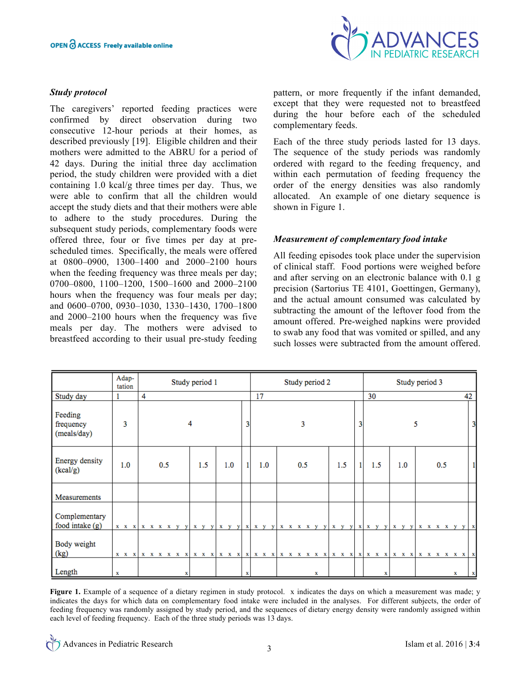### *Study protocol*

The caregivers' reported feeding practices were confirmed by direct observation during two consecutive 12-hour periods at their homes, as described previously [19]. Eligible children and their mothers were admitted to the ABRU for a period of 42 days. During the initial three day acclimation period, the study children were provided with a diet containing 1.0 kcal/g three times per day. Thus, we were able to confirm that all the children would accept the study diets and that their mothers were able to adhere to the study procedures. During the subsequent study periods, complementary foods were offered three, four or five times per day at prescheduled times. Specifically, the meals were offered at 0800–0900, 1300–1400 and 2000–2100 hours when the feeding frequency was three meals per day; 0700–0800, 1100–1200, 1500–1600 and 2000–2100 hours when the frequency was four meals per day; and 0600–0700, 0930–1030, 1330–1430, 1700–1800 and 2000–2100 hours when the frequency was five meals per day. The mothers were advised to breastfeed according to their usual pre-study feeding



pattern, or more frequently if the infant demanded, except that they were requested not to breastfeed during the hour before each of the scheduled complementary feeds.

Each of the three study periods lasted for 13 days. The sequence of the study periods was randomly ordered with regard to the feeding frequency, and within each permutation of feeding frequency the order of the energy densities was also randomly allocated. An example of one dietary sequence is shown in Figure 1.

#### *Measurement of complementary food intake*

All feeding episodes took place under the supervision of clinical staff. Food portions were weighed before and after serving on an electronic balance with 0.1 g precision (Sartorius TE 4101, Goettingen, Germany), and the actual amount consumed was calculated by subtracting the amount of the leftover food from the amount offered. Pre-weighed napkins were provided to swab any food that was vomited or spilled, and any such losses were subtracted from the amount offered.

|                                     | Adap-<br>tation | Study period 1 |                                                                                                               |   |     | Study period 2 | Study period 3 |     |     |     |    |
|-------------------------------------|-----------------|----------------|---------------------------------------------------------------------------------------------------------------|---|-----|----------------|----------------|-----|-----|-----|----|
| Study day                           |                 | 4              |                                                                                                               |   | 17  |                |                | 30  |     |     | 42 |
| Feeding<br>frequency<br>(meals/day) | 3               |                | 4                                                                                                             | 3 |     | 3              | 3              |     |     | 5   |    |
| Energy density<br>(kcal/g)          | 1.0             | 0.5            | 1.0<br>1.5                                                                                                    |   | 1.0 | 0.5            | 1.5<br>1       | 1.5 | 1.0 | 0.5 |    |
| Measurements                        |                 |                |                                                                                                               |   |     |                |                |     |     |     |    |
| Complementary<br>food intake (g)    |                 |                |                                                                                                               |   |     |                |                |     |     |     |    |
| Body weight<br>(kg)                 |                 |                | x x x   x x x x x x   x x x   x x x   x x x   x x x x x x   x x x   x x x   x x x   x x x x x x x x x x x x x |   |     |                |                |     |     |     |    |
| Length                              | x               |                |                                                                                                               | х |     | x              |                | x   |     | х   |    |

**Figure 1.** Example of a sequence of a dietary regimen in study protocol. x indicates the days on which a measurement was made; y indicates the days for which data on complementary food intake were included in the analyses. For different subjects, the order of feeding frequency was randomly assigned by study period, and the sequences of dietary energy density were randomly assigned within each level of feeding frequency. Each of the three study periods was 13 days.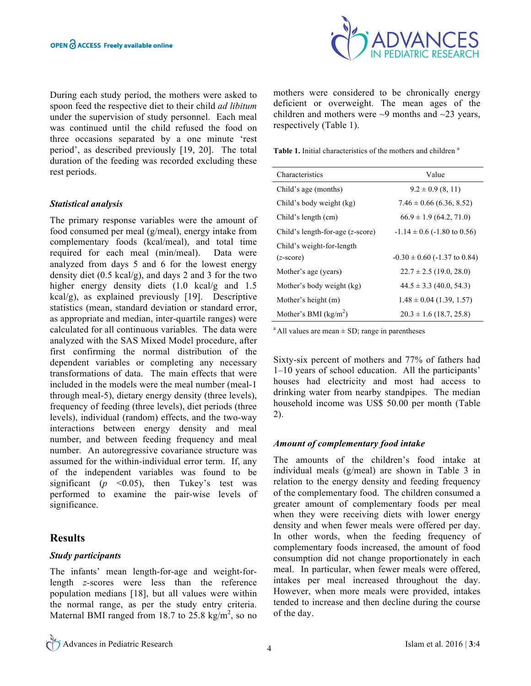

During each study period, the mothers were asked to spoon feed the respective diet to their child *ad libitum* under the supervision of study personnel. Each meal was continued until the child refused the food on three occasions separated by a one minute 'rest period', as described previously [19, 20]. The total duration of the feeding was recorded excluding these rest periods.

### *Statistical analysis*

The primary response variables were the amount of food consumed per meal (g/meal), energy intake from complementary foods (kcal/meal), and total time required for each meal (min/meal). Data were analyzed from days 5 and 6 for the lowest energy density diet (0.5 kcal/g), and days 2 and 3 for the two higher energy density diets  $(1.0 \text{ kcal/g and } 1.5)$ kcal/g), as explained previously [19]. Descriptive statistics (mean, standard deviation or standard error, as appropriate and median, inter-quartile ranges) were calculated for all continuous variables. The data were analyzed with the SAS Mixed Model procedure, after first confirming the normal distribution of the dependent variables or completing any necessary transformations of data. The main effects that were included in the models were the meal number (meal-1 through meal-5), dietary energy density (three levels), frequency of feeding (three levels), diet periods (three levels), individual (random) effects, and the two-way interactions between energy density and meal number, and between feeding frequency and meal number. An autoregressive covariance structure was assumed for the within-individual error term. If, any of the independent variables was found to be significant ( $p \le 0.05$ ), then Tukey's test was performed to examine the pair-wise levels of significance.

## **Results**

### *Study participants*

The infants' mean length-for-age and weight-forlength *z-*scores were less than the reference population medians [18], but all values were within the normal range, as per the study entry criteria. Maternal BMI ranged from 18.7 to  $25.8 \text{ kg/m}^2$ , so no mothers were considered to be chronically energy deficient or overweight. The mean ages of the children and mothers were  $\sim$ 9 months and  $\sim$ 23 years, respectively (Table 1).

**Table 1.** Initial characteristics of the mothers and children <sup>a</sup>

| <b>Characteristics</b>                    | Value                               |  |  |  |  |  |
|-------------------------------------------|-------------------------------------|--|--|--|--|--|
| Child's age (months)                      | $9.2 \pm 0.9$ (8, 11)               |  |  |  |  |  |
| Child's body weight (kg)                  | $7.46 \pm 0.66$ (6.36, 8.52)        |  |  |  |  |  |
| Child's length (cm)                       | $66.9 \pm 1.9$ (64.2, 71.0)         |  |  |  |  |  |
| Child's length-for-age $(z\text{-score})$ | $-1.14 \pm 0.6$ ( $-1.80$ to 0.56)  |  |  |  |  |  |
| Child's weight-for-length                 |                                     |  |  |  |  |  |
| $(z\text{-score})$                        | $-0.30 \pm 0.60$ ( $-1.37$ to 0.84) |  |  |  |  |  |
| Mother's age (years)                      | $22.7 \pm 2.5$ (19.0, 28.0)         |  |  |  |  |  |
| Mother's body weight (kg)                 | $44.5 \pm 3.3$ (40.0, 54.3)         |  |  |  |  |  |
| Mother's height (m)                       | $1.48 \pm 0.04$ (1.39, 1.57)        |  |  |  |  |  |
| Mother's BMI ( $\text{kg/m}^2$ )          | $20.3 \pm 1.6$ (18.7, 25.8)         |  |  |  |  |  |

 $^{\circ}$  All values are mean  $\pm$  SD; range in parentheses

Sixty-six percent of mothers and 77% of fathers had 1–10 years of school education. All the participants' houses had electricity and most had access to drinking water from nearby standpipes. The median household income was US\$ 50.00 per month (Table 2).

### *Amount of complementary food intake*

The amounts of the children's food intake at individual meals (g/meal) are shown in Table 3 in relation to the energy density and feeding frequency of the complementary food. The children consumed a greater amount of complementary foods per meal when they were receiving diets with lower energy density and when fewer meals were offered per day. In other words, when the feeding frequency of complementary foods increased, the amount of food consumption did not change proportionately in each meal. In particular, when fewer meals were offered, intakes per meal increased throughout the day. However, when more meals were provided, intakes tended to increase and then decline during the course of the day.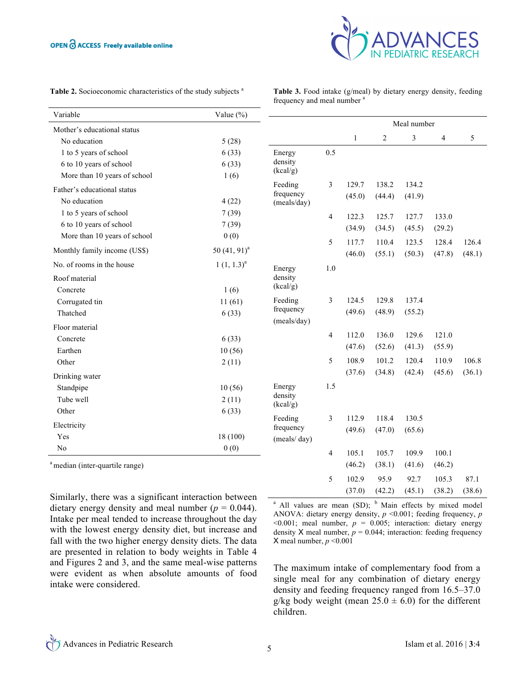

|  |  |  | Table 2. Socioeconomic characteristics of the study subjects <sup>a</sup> |  |  |
|--|--|--|---------------------------------------------------------------------------|--|--|
|--|--|--|---------------------------------------------------------------------------|--|--|

**Table 3.** Food intake (g/meal) by dietary energy density, feeding frequency and meal number<sup>a</sup>

| Variable                                   | Value $(\% )$     |                          |                |              |                |             |                |        |  |
|--------------------------------------------|-------------------|--------------------------|----------------|--------------|----------------|-------------|----------------|--------|--|
| Mother's educational status                |                   |                          |                |              |                | Meal number |                |        |  |
| No education                               | 5(28)             |                          |                | $\mathbf{1}$ | $\overline{c}$ | 3           | $\overline{4}$ | 5      |  |
| 1 to 5 years of school                     | 6(33)             | Energy                   | 0.5            |              |                |             |                |        |  |
| 6 to 10 years of school                    | 6(33)             | density                  |                |              |                |             |                |        |  |
| More than 10 years of school               | 1(6)              | (kcal/g)                 |                |              |                |             |                |        |  |
| Father's educational status                |                   | Feeding                  | 3              | 129.7        | 138.2          | 134.2       |                |        |  |
| No education                               | 4(22)             | frequency<br>(meals/day) |                | (45.0)       | (44.4)         | (41.9)      |                |        |  |
| 1 to 5 years of school                     | 7(39)             |                          | $\overline{4}$ | 122.3        | 125.7          | 127.7       | 133.0          |        |  |
| 6 to 10 years of school                    | 7(39)             |                          |                | (34.9)       | (34.5)         | (45.5)      | (29.2)         |        |  |
| More than 10 years of school               | 0(0)              |                          |                |              |                |             |                |        |  |
| Monthly family income (US\$)               | 50 $(41, 91)^{a}$ |                          | 5              | 117.7        | 110.4          | 123.5       | 128.4          | 126.4  |  |
| No. of rooms in the house                  | $1(1, 1.3)^a$     |                          |                | (46.0)       | (55.1)         | (50.3)      | (47.8)         | (48.1) |  |
|                                            |                   | Energy                   | 1.0            |              |                |             |                |        |  |
| Roof material                              |                   | density<br>(kcal/g)      |                |              |                |             |                |        |  |
| Concrete                                   | 1(6)              |                          |                |              |                |             |                |        |  |
| Corrugated tin                             | 11(61)            | Feeding<br>frequency     | 3              | 124.5        | 129.8          | 137.4       |                |        |  |
| Thatched                                   | 6(33)             | (meals/day)              |                | (49.6)       | (48.9)         | (55.2)      |                |        |  |
| Floor material                             |                   |                          |                |              |                |             |                |        |  |
| Concrete                                   | 6(33)             |                          | 4              | 112.0        | 136.0          | 129.6       | 121.0          |        |  |
| Earthen                                    | 10(56)            |                          |                | (47.6)       | (52.6)         | (41.3)      | (55.9)         |        |  |
| Other                                      | 2(11)             |                          | 5              | 108.9        | 101.2          | 120.4       | 110.9          | 106.8  |  |
| Drinking water                             |                   |                          |                | (37.6)       | (34.8)         | (42.4)      | (45.6)         | (36.1) |  |
| Standpipe                                  | 10(56)            | Energy                   | 1.5            |              |                |             |                |        |  |
| Tube well                                  | 2(11)             | density<br>(kcal/g)      |                |              |                |             |                |        |  |
| Other                                      | 6(33)             |                          |                |              |                |             |                |        |  |
| Electricity                                |                   | Feeding<br>frequency     | 3              | 112.9        | 118.4          | 130.5       |                |        |  |
| Yes                                        | 18 (100)          | (meals/day)              |                | (49.6)       | (47.0)         | (65.6)      |                |        |  |
| No                                         | 0(0)              |                          |                |              |                |             |                |        |  |
|                                            |                   |                          | 4              | 105.1        | 105.7          | 109.9       | 100.1          |        |  |
| <sup>a</sup> median (inter-quartile range) |                   |                          |                | (46.2)       | (38.1)         | (41.6)      | (46.2)         |        |  |
|                                            |                   |                          | 5              | 102.9        | 95.9           | 92.7        | 105.3          | 87.1   |  |
| $\cdot$ $\sim$                             |                   |                          |                | (37.0)       | (42.2)         | (45.1)      | (38.2)         | (38.6) |  |

Similarly, there was a significant interaction between dietary energy density and meal number  $(p = 0.044)$ . Intake per meal tended to increase throughout the day with the lowest energy density diet, but increase and fall with the two higher energy density diets. The data are presented in relation to body weights in Table 4 and Figures 2 and 3, and the same meal-wise patterns were evident as when absolute amounts of food intake were considered.

 $a$  All values are mean (SD);  $b$  Main effects by mixed model ANOVA: dietary energy density, *p* <0.001; feeding frequency, *p*   $\leq 0.001$ ; meal number,  $p = 0.005$ ; interaction: dietary energy density X meal number,  $p = 0.044$ ; interaction: feeding frequency X meal number,  $p \le 0.001$ 

The maximum intake of complementary food from a single meal for any combination of dietary energy density and feeding frequency ranged from 16.5–37.0 g/kg body weight (mean  $25.0 \pm 6.0$ ) for the different children.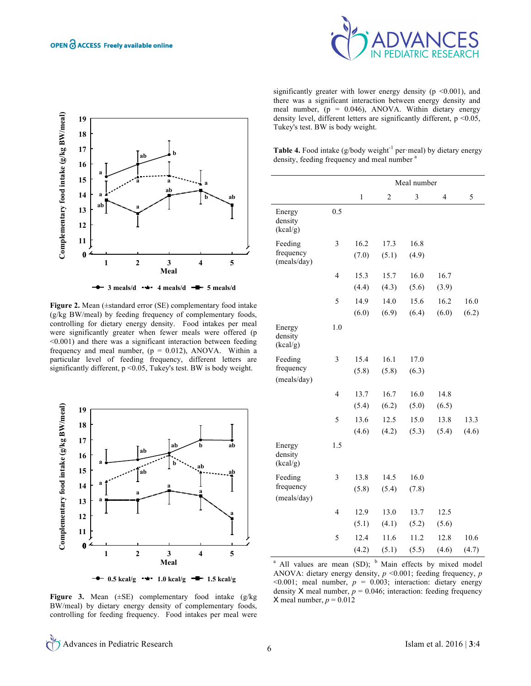



**Figure 2.** Mean (±standard error (SE) complementary food intake (g/kg BW/meal) by feeding frequency of complementary foods, controlling for dietary energy density. Food intakes per meal were significantly greater when fewer meals were offered (p <0.001) and there was a significant interaction between feeding frequency and meal number,  $(p = 0.012)$ , ANOVA. Within a particular level of feeding frequency, different letters are significantly different,  $p \le 0.05$ , Tukey's test. BW is body weight.



**Figure 3.** Mean (±SE) complementary food intake (g/kg BW/meal) by dietary energy density of complementary foods, controlling for feeding frequency. Food intakes per meal were

significantly greater with lower energy density ( $p \le 0.001$ ), and there was a significant interaction between energy density and meal number,  $(p = 0.046)$ , ANOVA. Within dietary energy density level, different letters are significantly different,  $p < 0.05$ , Tukey's test. BW is body weight.

Table 4. Food intake (g/body weight<sup>-1</sup> per·meal) by dietary energy density, feeding frequency and meal number <sup>a</sup>

|                                     |                         | Meal number   |                |                         |                |               |  |  |
|-------------------------------------|-------------------------|---------------|----------------|-------------------------|----------------|---------------|--|--|
|                                     |                         | $\mathbf{1}$  | $\overline{c}$ | $\overline{\mathbf{3}}$ | $\overline{4}$ | 5             |  |  |
| Energy<br>density<br>(kcal/g)       | 0.5                     |               |                |                         |                |               |  |  |
| Feeding<br>frequency<br>(meals/day) | $\overline{\mathbf{3}}$ | 16.2<br>(7.0) | 17.3<br>(5.1)  | 16.8<br>(4.9)           |                |               |  |  |
|                                     | $\overline{4}$          | 15.3<br>(4.4) | 15.7<br>(4.3)  | 16.0<br>(5.6)           | 16.7<br>(3.9)  |               |  |  |
|                                     | 5                       | 14.9<br>(6.0) | 14.0<br>(6.9)  | 15.6<br>(6.4)           | 16.2<br>(6.0)  | 16.0<br>(6.2) |  |  |
| Energy<br>density<br>(kcal/g)       | 1.0                     |               |                |                         |                |               |  |  |
| Feeding<br>frequency<br>(meals/day) | 3                       | 15.4<br>(5.8) | 16.1<br>(5.8)  | 17.0<br>(6.3)           |                |               |  |  |
|                                     | $\overline{4}$          | 13.7<br>(5.4) | 16.7<br>(6.2)  | 16.0<br>(5.0)           | 14.8<br>(6.5)  |               |  |  |
|                                     | 5                       | 13.6<br>(4.6) | 12.5<br>(4.2)  | 15.0<br>(5.3)           | 13.8<br>(5.4)  | 13.3<br>(4.6) |  |  |
| Energy<br>density<br>(kcal/g)       | 1.5                     |               |                |                         |                |               |  |  |
| Feeding<br>frequency<br>(meals/day) | 3                       | 13.8<br>(5.8) | 14.5<br>(5.4)  | 16.0<br>(7.8)           |                |               |  |  |
|                                     | 4                       | 12.9<br>(5.1) | 13.0<br>(4.1)  | 13.7<br>(5.2)           | 12.5<br>(5.6)  |               |  |  |
|                                     | 5                       | 12.4<br>(4.2) | 11.6<br>(5.1)  | 11.2<br>(5.5)           | 12.8<br>(4.6)  | 10.6<br>(4.7) |  |  |

<sup>a</sup> All values are mean (SD);  $<sup>b</sup>$  Main effects by mixed model</sup> ANOVA: dietary energy density, *p* <0.001; feeding frequency, *p*   $\leq 0.001$ ; meal number,  $p = 0.003$ ; interaction: dietary energy density X meal number,  $p = 0.046$ ; interaction: feeding frequency X meal number,  $p = 0.012$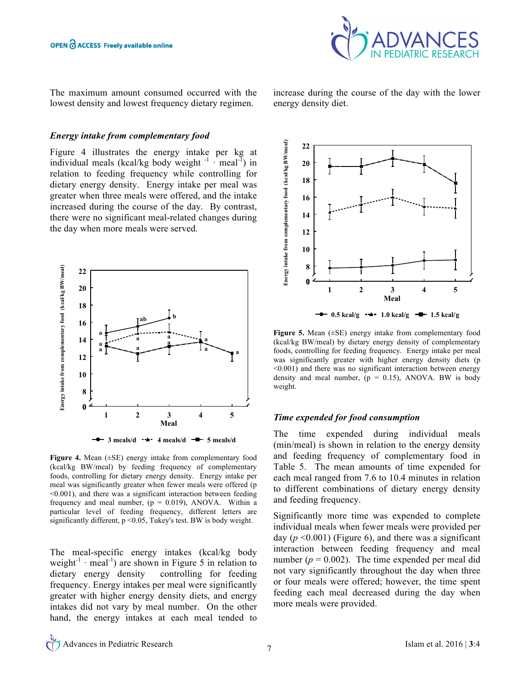

The maximum amount consumed occurred with the lowest density and lowest frequency dietary regimen.

#### *Energy intake from complementary food*

Figure 4 illustrates the energy intake per kg at individual meals (kcal/kg body weight  $\cdot$ <sup>1</sup> · meal<sup>-1</sup>) in relation to feeding frequency while controlling for dietary energy density. Energy intake per meal was greater when three meals were offered, and the intake increased during the course of the day. By contrast, there were no significant meal-related changes during the day when more meals were served.



**Figure 4.** Mean (±SE) energy intake from complementary food (kcal/kg BW/meal) by feeding frequency of complementary foods, controlling for dietary energy density. Energy intake per meal was significantly greater when fewer meals were offered (p <0.001), and there was a significant interaction between feeding frequency and meal number,  $(p = 0.019)$ , ANOVA. Within a particular level of feeding frequency, different letters are significantly different,  $p \le 0.05$ , Tukey's test. BW is body weight.

The meal-specific energy intakes (kcal/kg body weight<sup>-1</sup> · meal<sup>-1</sup>) are shown in Figure 5 in relation to dietary energy density controlling for feeding frequency. Energy intakes per meal were significantly greater with higher energy density diets, and energy intakes did not vary by meal number. On the other hand, the energy intakes at each meal tended to

increase during the course of the day with the lower energy density diet.



**Figure 5.** Mean (±SE) energy intake from complementary food (kcal/kg BW/meal) by dietary energy density of complementary foods, controlling for feeding frequency. Energy intake per meal was significantly greater with higher energy density diets (p <0.001) and there was no significant interaction between energy density and meal number,  $(p = 0.15)$ , ANOVA. BW is body weight.

#### *Time expended for food consumption*

The time expended during individual meals (min/meal) is shown in relation to the energy density and feeding frequency of complementary food in Table 5. The mean amounts of time expended for each meal ranged from 7.6 to 10.4 minutes in relation to different combinations of dietary energy density and feeding frequency.

Significantly more time was expended to complete individual meals when fewer meals were provided per day  $(p \le 0.001)$  (Figure 6), and there was a significant interaction between feeding frequency and meal number  $(p = 0.002)$ . The time expended per meal did not vary significantly throughout the day when three or four meals were offered; however, the time spent feeding each meal decreased during the day when more meals were provided.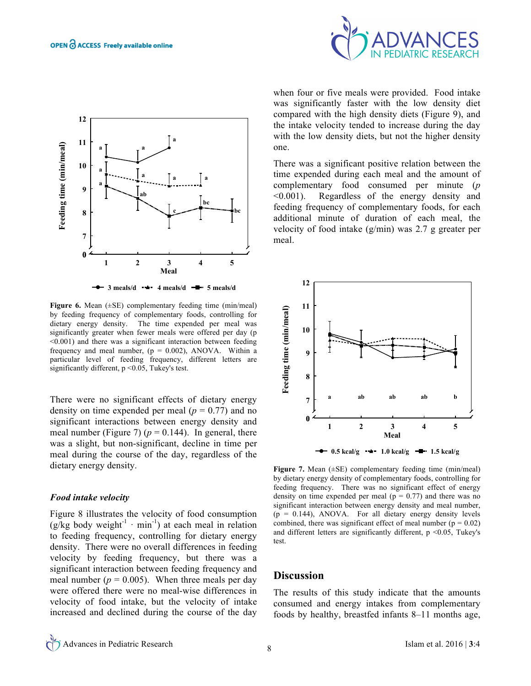



**Figure 6.** Mean (±SE) complementary feeding time (min/meal) by feeding frequency of complementary foods, controlling for dietary energy density. The time expended per meal was significantly greater when fewer meals were offered per day (p <0.001) and there was a significant interaction between feeding frequency and meal number,  $(p = 0.002)$ , ANOVA. Within a particular level of feeding frequency, different letters are significantly different, p <0.05, Tukey's test.

There were no significant effects of dietary energy density on time expended per meal  $(p = 0.77)$  and no significant interactions between energy density and meal number (Figure 7) ( $p = 0.144$ ). In general, there was a slight, but non-significant, decline in time per meal during the course of the day, regardless of the dietary energy density.

#### *Food intake velocity*

Figure 8 illustrates the velocity of food consumption (g/kg body weight<sup>-1</sup> · min<sup>-1</sup>) at each meal in relation to feeding frequency, controlling for dietary energy density. There were no overall differences in feeding velocity by feeding frequency, but there was a significant interaction between feeding frequency and meal number ( $p = 0.005$ ). When three meals per day were offered there were no meal-wise differences in velocity of food intake, but the velocity of intake increased and declined during the course of the day

when four or five meals were provided. Food intake was significantly faster with the low density diet compared with the high density diets (Figure 9), and the intake velocity tended to increase during the day with the low density diets, but not the higher density one.

There was a significant positive relation between the time expended during each meal and the amount of complementary food consumed per minute (*p* <0.001). Regardless of the energy density and feeding frequency of complementary foods, for each additional minute of duration of each meal, the velocity of food intake (g/min) was 2.7 g greater per meal.



**Figure 7.** Mean (±SE) complementary feeding time (min/meal) by dietary energy density of complementary foods, controlling for feeding frequency. There was no significant effect of energy density on time expended per meal ( $p = 0.77$ ) and there was no significant interaction between energy density and meal number,  $(p = 0.144)$ , ANOVA. For all dietary energy density levels combined, there was significant effect of meal number ( $p = 0.02$ ) and different letters are significantly different,  $p \le 0.05$ , Tukey's test.

### **Discussion**

The results of this study indicate that the amounts consumed and energy intakes from complementary foods by healthy, breastfed infants 8–11 months age,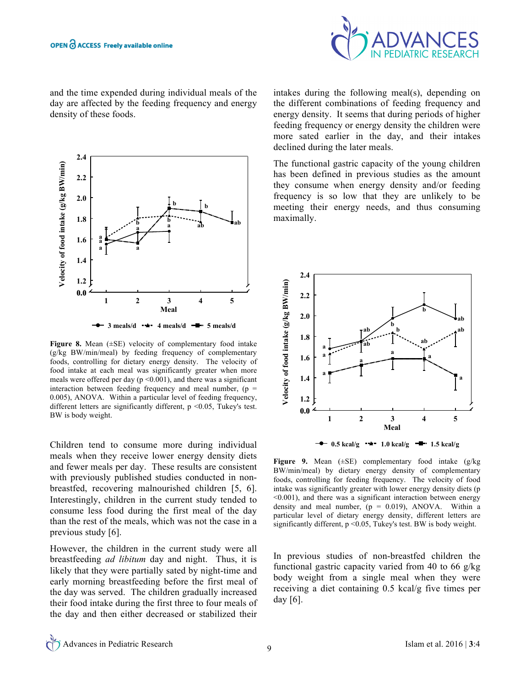

and the time expended during individual meals of the day are affected by the feeding frequency and energy density of these foods.



**Figure 8.** Mean (±SE) velocity of complementary food intake (g/kg BW/min/meal) by feeding frequency of complementary foods, controlling for dietary energy density. The velocity of food intake at each meal was significantly greater when more meals were offered per day ( $p \le 0.001$ ), and there was a significant interaction between feeding frequency and meal number,  $(p =$ 0.005), ANOVA. Within a particular level of feeding frequency, different letters are significantly different,  $p \le 0.05$ , Tukey's test. BW is body weight.

Children tend to consume more during individual meals when they receive lower energy density diets and fewer meals per day. These results are consistent with previously published studies conducted in nonbreastfed, recovering malnourished children [5, 6]. Interestingly, children in the current study tended to consume less food during the first meal of the day than the rest of the meals, which was not the case in a previous study [6].

However, the children in the current study were all breastfeeding *ad libitum* day and night. Thus, it is likely that they were partially sated by night-time and early morning breastfeeding before the first meal of the day was served. The children gradually increased their food intake during the first three to four meals of the day and then either decreased or stabilized their intakes during the following meal(s), depending on the different combinations of feeding frequency and energy density. It seems that during periods of higher feeding frequency or energy density the children were more sated earlier in the day, and their intakes declined during the later meals.

The functional gastric capacity of the young children has been defined in previous studies as the amount they consume when energy density and/or feeding frequency is so low that they are unlikely to be meeting their energy needs, and thus consuming maximally.



**Figure 9.** Mean (±SE) complementary food intake (g/kg BW/min/meal) by dietary energy density of complementary foods, controlling for feeding frequency. The velocity of food intake was significantly greater with lower energy density diets (p <0.001), and there was a significant interaction between energy density and meal number,  $(p = 0.019)$ , ANOVA. Within a particular level of dietary energy density, different letters are significantly different, p <0.05, Tukey's test. BW is body weight.

In previous studies of non-breastfed children the functional gastric capacity varied from 40 to 66 g/kg body weight from a single meal when they were receiving a diet containing 0.5 kcal/g five times per day [6].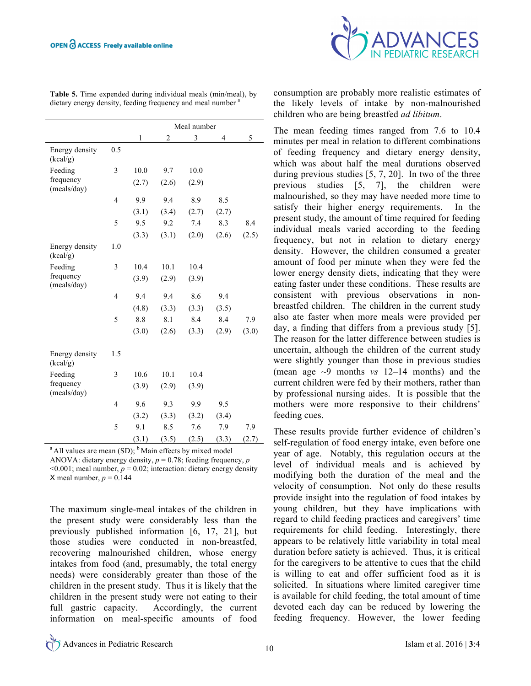|                            |                         | Meal number |                |       |       |       |  |  |
|----------------------------|-------------------------|-------------|----------------|-------|-------|-------|--|--|
|                            |                         | 1           | $\overline{2}$ | 3     | 4     | 5     |  |  |
| Energy density<br>(kcal/g) | 0.5                     |             |                |       |       |       |  |  |
| Feeding                    | 3                       | 10.0        | 9.7            | 10.0  |       |       |  |  |
| frequency<br>(meals/day)   |                         | (2.7)       | (2.6)          | (2.9) |       |       |  |  |
|                            | $\overline{4}$          | 9.9         | 9.4            | 8.9   | 8.5   |       |  |  |
|                            |                         | (3.1)       | (3.4)          | (2.7) | (2.7) |       |  |  |
|                            | 5                       | 9.5         | 9.2            | 7.4   | 8.3   | 8.4   |  |  |
|                            |                         | (3.3)       | (3.1)          | (2.0) | (2.6) | (2.5) |  |  |
| Energy density<br>(kcal/g) | 1.0                     |             |                |       |       |       |  |  |
| Feeding                    | 3                       | 10.4        | 10.1           | 10.4  |       |       |  |  |
| frequency<br>(meals/day)   |                         | (3.9)       | (2.9)          | (3.9) |       |       |  |  |
|                            | $\overline{4}$          | 9.4         | 9.4            | 8.6   | 9.4   |       |  |  |
|                            |                         | (4.8)       | (3.3)          | (3.3) | (3.5) |       |  |  |
|                            | 5                       | 8.8         | 8.1            | 8.4   | 8.4   | 7.9   |  |  |
|                            |                         | (3.0)       | (2.6)          | (3.3) | (2.9) | (3.0) |  |  |
| Energy density<br>(kcal/g) | 1.5                     |             |                |       |       |       |  |  |
| Feeding                    | 3                       | 10.6        | 10.1           | 10.4  |       |       |  |  |
| frequency<br>(meals/day)   |                         | (3.9)       | (2.9)          | (3.9) |       |       |  |  |
|                            | $\overline{\mathbf{4}}$ | 9.6         | 9.3            | 9.9   | 9.5   |       |  |  |
|                            |                         | (3.2)       | (3.3)          | (3.2) | (3.4) |       |  |  |
|                            | 5                       | 9.1         | 8.5            | 7.6   | 7.9   | 7.9   |  |  |
|                            |                         | (3.1)       | (3.5)          | (2.5) | (3.3) | (2.7) |  |  |
|                            |                         | k,          |                |       |       |       |  |  |

**Table 5.** Time expended during individual meals (min/meal), by dietary energy density, feeding frequency and meal number <sup>a</sup>

 $a$  All values are mean (SD);  $b$  Main effects by mixed model ANOVA: dietary energy density,  $p = 0.78$ ; feeding frequency, *p*  $\leq 0.001$ ; meal number,  $p = 0.02$ ; interaction: dietary energy density  $X$  meal number,  $p = 0.144$ 

The maximum single-meal intakes of the children in the present study were considerably less than the previously published information [6, 17, 21], but those studies were conducted in non-breastfed, recovering malnourished children, whose energy intakes from food (and, presumably, the total energy needs) were considerably greater than those of the children in the present study. Thus it is likely that the children in the present study were not eating to their full gastric capacity. Accordingly, the current information on meal-specific amounts of food



consumption are probably more realistic estimates of the likely levels of intake by non-malnourished children who are being breastfed *ad libitum*.

The mean feeding times ranged from 7.6 to 10.4 minutes per meal in relation to different combinations of feeding frequency and dietary energy density, which was about half the meal durations observed during previous studies [5, 7, 20]. In two of the three previous studies [5, 7], the children were malnourished, so they may have needed more time to satisfy their higher energy requirements. In the present study, the amount of time required for feeding individual meals varied according to the feeding frequency, but not in relation to dietary energy density. However, the children consumed a greater amount of food per minute when they were fed the lower energy density diets, indicating that they were eating faster under these conditions. These results are consistent with previous observations in nonbreastfed children. The children in the current study also ate faster when more meals were provided per day, a finding that differs from a previous study [5]. The reason for the latter difference between studies is uncertain, although the children of the current study were slightly younger than those in previous studies (mean age ~9 months *vs* 12–14 months) and the current children were fed by their mothers, rather than by professional nursing aides. It is possible that the mothers were more responsive to their childrens' feeding cues.

These results provide further evidence of children's self-regulation of food energy intake, even before one year of age. Notably, this regulation occurs at the level of individual meals and is achieved by modifying both the duration of the meal and the velocity of consumption. Not only do these results provide insight into the regulation of food intakes by young children, but they have implications with regard to child feeding practices and caregivers' time requirements for child feeding. Interestingly, there appears to be relatively little variability in total meal duration before satiety is achieved. Thus, it is critical for the caregivers to be attentive to cues that the child is willing to eat and offer sufficient food as it is solicited. In situations where limited caregiver time is available for child feeding, the total amount of time devoted each day can be reduced by lowering the feeding frequency. However, the lower feeding